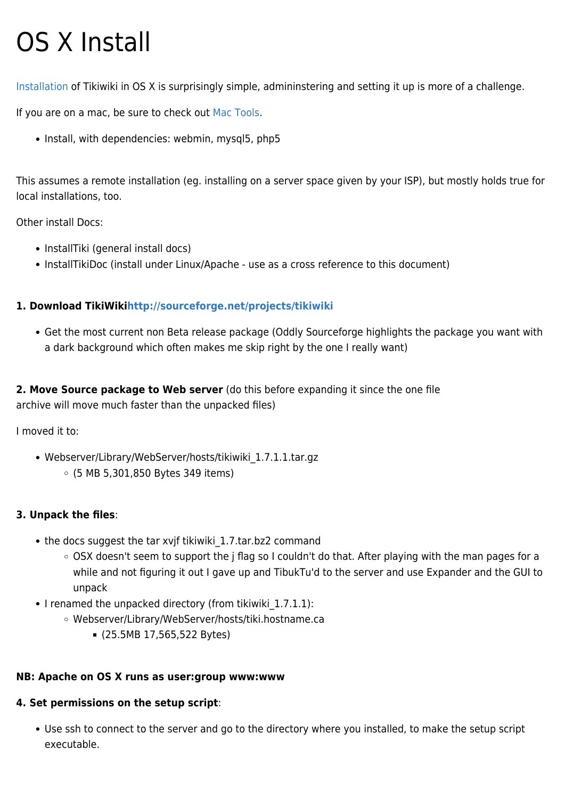# OS X Install

[Installation](https://doc.tiki.org/Installation) of Tikiwiki in OS X is surprisingly simple, admininstering and setting it up is more of a challenge.

If you are on a mac, be sure to check out [Mac Tools](https://doc.tiki.org/Mac%20Tools).

• Install, with dependencies: webmin, mysql5, php5

This assumes a remote installation (eg. installing on a server space given by your ISP), but mostly holds true for local installations, too.

Other install Docs:

- InstallTiki (general install docs)
- InstallTikiDoc (install under Linux/Apache use as a cross reference to this document)

## **1. Download TikiWik[ihttp://sourceforge.net/projects/tikiwiki](http://sourceforge.net/projects/tikiwiki)**

Get the most current non Beta release package (Oddly Sourceforge highlights the package you want with a dark background which often makes me skip right by the one I really want)

**2. Move Source package to Web server** (do this before expanding it since the one file archive will move much faster than the unpacked files)

I moved it to:

Webserver/Library/WebServer/hosts/tikiwiki\_1.7.1.1.tar.gz (5 MB 5,301,850 Bytes 349 items)

## **3. Unpack the files**:

- the docs suggest the tar xvjf tikiwiki 1.7.tar.bz2 command
	- OSX doesn't seem to support the j flag so I couldn't do that. After playing with the man pages for a while and not figuring it out I gave up and TibukTu'd to the server and use Expander and the GUI to unpack
- I renamed the unpacked directory (from tikiwiki 1.7.1.1):
	- Webserver/Library/WebServer/hosts/tiki.hostname.ca
		- (25.5MB 17,565,522 Bytes)

## **NB: Apache on OS X runs as user:group www:www**

### **4. Set permissions on the setup script**:

Use ssh to connect to the server and go to the directory where you installed, to make the setup script executable.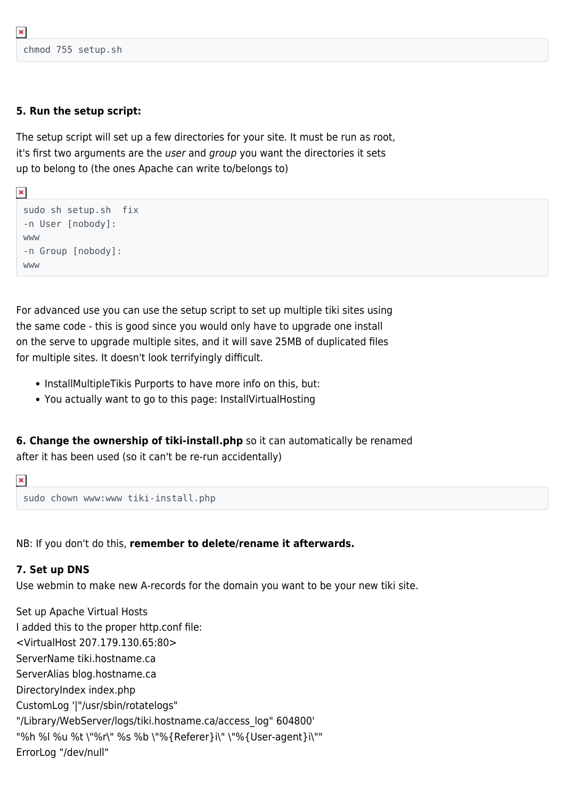```
chmod 755 setup.sh
```
 $\pmb{\times}$ 

 $\pmb{\times}$ 

### **5. Run the setup script:**

The setup script will set up a few directories for your site. It must be run as root, it's first two arguments are the user and group you want the directories it sets up to belong to (the ones Apache can write to/belongs to)

```
sudo sh setup.sh fix
-n User [nobody]:
www
-n Group [nobody]:
www
```
For advanced use you can use the setup script to set up multiple tiki sites using the same code - this is good since you would only have to upgrade one install on the serve to upgrade multiple sites, and it will save 25MB of duplicated files for multiple sites. It doesn't look terrifyingly difficult.

- InstallMultipleTikis Purports to have more info on this, but:
- You actually want to go to this page: InstallVirtualHosting

**6. Change the ownership of tiki-install.php** so it can automatically be renamed after it has been used (so it can't be re-run accidentally)

```
\pmb{\times}
```
sudo chown www:www tiki-install.php

NB: If you don't do this, **remember to delete/rename it afterwards.**

### **7. Set up DNS**

Use webmin to make new A-records for the domain you want to be your new tiki site.

Set up Apache Virtual Hosts I added this to the proper http.conf file: <VirtualHost 207.179.130.65:80> ServerName tiki.hostname.ca ServerAlias blog.hostname.ca DirectoryIndex index.php CustomLog '|"/usr/sbin/rotatelogs" "/Library/WebServer/logs/tiki.hostname.ca/access\_log" 604800' "%h %l %u %t \"%r\" %s %b \"%{Referer}i\" \"%{User-agent}i\"" ErrorLog "/dev/null"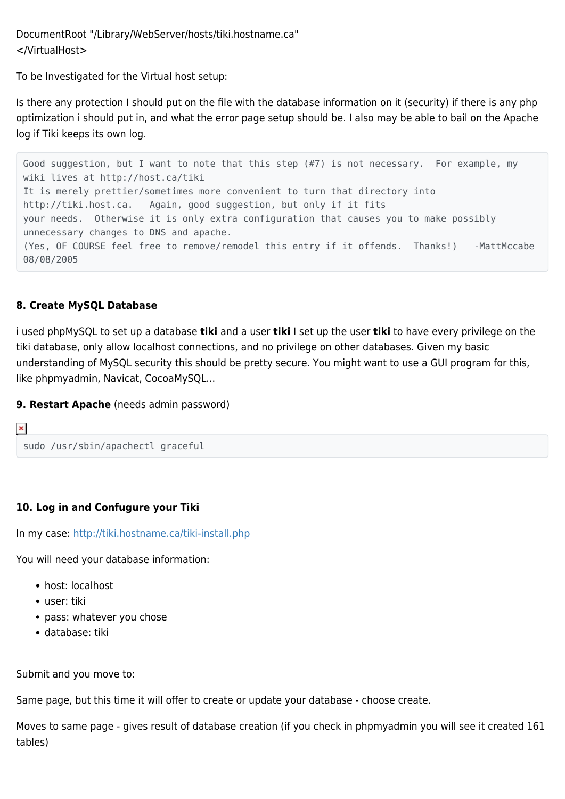DocumentRoot "/Library/WebServer/hosts/tiki.hostname.ca" </VirtualHost>

To be Investigated for the Virtual host setup:

Is there any protection I should put on the file with the database information on it (security) if there is any php optimization i should put in, and what the error page setup should be. I also may be able to bail on the Apache log if Tiki keeps its own log.

Good suggestion, but I want to note that this step (#7) is not necessary. For example, my wiki lives at http://host.ca/tiki It is merely prettier/sometimes more convenient to turn that directory into http://tiki.host.ca. Again, good suggestion, but only if it fits your needs. Otherwise it is only extra configuration that causes you to make possibly unnecessary changes to DNS and apache. (Yes, OF COURSE feel free to remove/remodel this entry if it offends. Thanks!) -MattMccabe 08/08/2005

### **8. Create MySQL Database**

i used phpMySQL to set up a database **tiki** and a user **tiki** I set up the user **tiki** to have every privilege on the tiki database, only allow localhost connections, and no privilege on other databases. Given my basic understanding of MySQL security this should be pretty secure. You might want to use a GUI program for this, like phpmyadmin, Navicat, CocoaMySQL...

#### **9. Restart Apache** (needs admin password)

```
\pmb{\times}sudo /usr/sbin/apachectl graceful
```
### **10. Log in and Confugure your Tiki**

In my case:<http://tiki.hostname.ca/tiki-install.php>

You will need your database information:

- host: localhost
- user: tiki
- pass: whatever you chose
- database: tiki

Submit and you move to:

Same page, but this time it will offer to create or update your database - choose create.

Moves to same page - gives result of database creation (if you check in phpmyadmin you will see it created 161 tables)